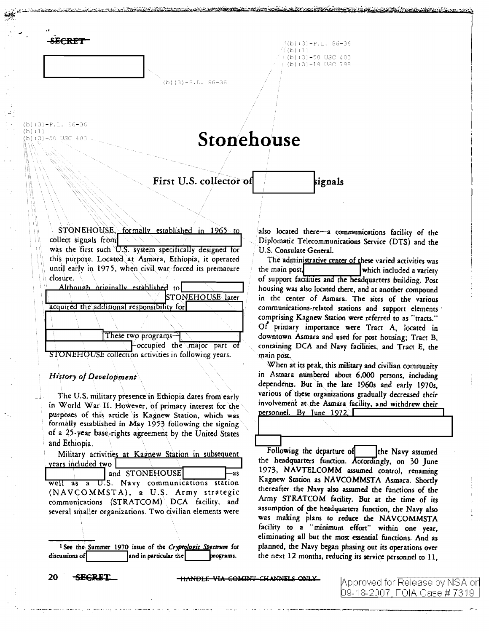**SECRET** 

 $($ b)(3)-P.L. 86-36  $(b) (1)$ (b)  $(3) - 50$  USC 403 (b)  $(3)$  -18 USC 798

 $(b)(3)-P.L. 86-36$ 

 $(b)(3)-P.L. 86-36$  $(b)(1)$  $(b)(3)-50$  USC 403

# Stonehouse

First U.S. collector of

STONEHOUSE, formally established in 1965 to collect signals from was the first such U.S. system specifically designed for this purpose. Located at Asmara, Ethiopia, it operated until early in 1975, when civil war forced its premature closure.

| Although originally established to               |  |                        |  |                             |  |
|--------------------------------------------------|--|------------------------|--|-----------------------------|--|
|                                                  |  |                        |  | <b>STONEHOUSE</b> later     |  |
| acquired the additional responsibility for       |  |                        |  |                             |  |
|                                                  |  |                        |  |                             |  |
|                                                  |  | These two programs $-$ |  |                             |  |
|                                                  |  |                        |  | Coccupied the major part of |  |
| VEHOUSE collection activities in following vears |  |                        |  |                             |  |

**History of Development** 

The U.S. military presence in Ethiopia dates from early in World War II. However, of primary interest for the purposes of this article is Kagnew Station, which was formally established in May 1953 following the signing of a 25-year base-rights agreement by the United States and Ethiopia.

Military activities at Kagnew Station in subsequent years included two

| and STONEHOUSE<br>—as                                     |
|-----------------------------------------------------------|
| well as a U.S. Navy communications station                |
| (NAVCOMMSTA), a U.S. Army strategic                       |
| communications (STRATCOM) DCA facility, and               |
| several smaller organizations. Two civilian elements were |

<sup>1</sup> See the Summer 1970 issue of the Cryptologic Spectrum for discussions of and in particular the programs.

also located there-a communications facility of the Diplomatic Telecommunications Service (DTS) and the U.S. Consulate General.

signals

The administrative center of these varied activities was the main post, which included a variety of support facilities and the headquarters building. Post housing was also located there, and at another compound in the center of Asmara. The sites of the various communications-related stations and support elements comprising Kagnew Station were referred to as "tracts." Of primary importance were Tract A, located in downtown Asmara and used for post housing: Tract B. containing DCA and Navy facilities, and Tract E, the main post.

When at its peak, this military and civilian community in Asmara numbered about 6,000 persons, including dependents. But in the late 1960s and early 1970s, various of these organizations gradually decreased their involvement at the Asmara facility, and withdrew their personnel. By June 1972

Following the departure of the Navy assumed the headquarters function. Accordingly, on 30 June 1973, NAVTELCOMM assumed control, renaming Kagnew Station as NAVCOMMSTA Asmara. Shortly thereafter the Navy also assumed the functions of the Army STRATCOM facility. But at the time of its assumption of the headquarters function, the Navy also was making plans to reduce the NAVCOMMSTA facility to a "minimum effort" within one year, eliminating all but the most essential functions. And as planned, the Navy began phasing out its operations over the next 12 months, reducing its service personnel to 11,

20 **SECRET** 

**HANDLE VIA COMINT CHANNELS ONLY**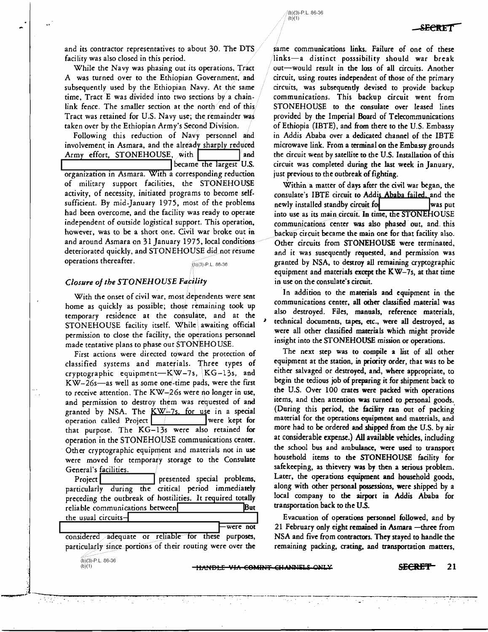and its contractor representatives to about 30. The DTS facility was also closed in this period.

While the Navy was phasing ouc ics operacions, Tract A was turned over to the Ethiopian Government, and subsequently used by the Echiopian Navy. At the same time, Tract E was divided inco two sections by a chainlink fence. The smaller section at the north end of this Tract was retained for U.S. Navy use; the remainder was taken over by the Ethiopian Army's Second Division.

Following chis reduccion of Navy personnel and involvement in Asmara, and the already sharply reduced Army effort, STONEHOUSE, with  $\int$  and  $\int$  became the largest U.S.

organization in Asmara. With a corresponding reduction of military support facilities, the STONEHOUSE activity, of necessity, initiaced programs to become self. sufficient. By mid-January 1975, most of the problems had been overcome, and the facility was ready to operate independent of outside logistical support. This operation, however, was to be a short one. Civil war broke out in and around Asmara on 31 January 1975, local conditions deteriorated quickly, and STONEHOUSE did not resume operations thereafter.

 $(b)(3)-P.L. 86-36$ 

### *Closure of the STONEHOUSE Facility*

With the onset of civil war, most dependents were sent home as quickly as possible; those remaining took up temporary residence at the consulate, and at the STONEHOUSE facility itself. While awaiting official permission to close the facility, the operations personnel made tentative plans to phase out STONEHOUSE.

First actions were directed coward the protection of classified systems and materials. Three types of cryptographic equipment- $K/W-7s$ ,  $KG-13s$ , and KW-26s-as well as some one-time pads, were the first to receive attention. The KW- $26s$  were no longer in use, and permission to destroy them was requested of and granted by NSA. The  $KW-7s$ , for use in a special operation called Project operation called Project that purpose. The KG-13s were also retained for operation in the STONEHOUSE communications center. Other cryptographic equipment and materials not in use were moved for temporary storage to the Consulate General's facilities.

Project | I presented special problems, particularly during the critical period immediately preceding the outbreak of hostilities. It required totally reliable communications between utility of the But the usual circuits

considered *a*dequate or reliable for these purposes, particularly since portions of their routing were over the

 $\sim$  . In the component of the contract of the contract of the contract of the contract of the contract of the contract of

 $(b)(3)-P.L. 86-36$ <br>(b)(1)

..

(b)(1) Ili\"ltBLE Vl/1 E8MIPJT Elll~~liJ..i O~JJ .. Y **£E€R:E'f** 21

were not

-------~---

same communications links. Failure of one of these  $\ln k$ s-a distinct posssibility should war break out-would result in the loss of all circuits. Another circuit, using routes independent of those of the primary circuits, was subsequently devised to provide backup communications. This backup circuit went from STONEHOUSE to the consulate over leased lines provided by the Imperial Board of Telecommunications of Ethiopia (IBTE), and from there to the U.S. Embassy in Addis Ababa over a dedicated channel of the IBTE microwave link. From a terminal on the Embassy grounds the circuit went by satellite to the U.S. Installation of this circuit was completed during the last week in January, just previous to the outbreak of fighting.

(b)(3)-P.L. 86-36  $(b)(1)$ 

Within a matter of days after the civil war began, the consulate's IBTE circuit to Addis Ababa failed, and the newly installed standby circuit for and the state of was put newly installed standby circuit for into use as its main circuit. In time, the STONEHOUSE communications center was also phased out, and this backup circuit became the main one for that facility also. Other circuits from STONEHOUSE were terminated, and it was susequently requested, and permission was granted by NSA, to destroy all remaining cryptographic equipment and materials except the  $KW-7s$ , at that time in use on the consulate's circuit.

In addition to the materials and equipment in the communications center, all other classified material was also destroyed. Files, manuals, reference materials, technical documents, tapes, etc., were all destroyed, as were all other classified materials which might provide insight into the STONEHOUSE mission or operations.

The next step was to compile a list of all other equipment at the station, in priority order, that was to be either salvaged or destroyed, and, where appropriate, to begin the tedious job of preparing it for shipment back to the U.S. Over 100 crates were packed with operations items, and then attention was turned to personal goods. (During this period, the facility ran out of packing. material for the operations equipment and materials, and more had to be ordered and shipped from the U.S. by air at considerable expense.) All available vehicles, including the school bus and ambulance, were used to transport household items to the STONEHOUSE facility for safekeeping, as thievery was by then a serious problem. Later, the operations equipment and household goods, along with other personal possessions, were shipped by a local company to the airport in Addis Ababa for transportation back to the U.S.

Evacuation of operations personnel followed, and by 21 February only eight remained in Asmara -three from NSA and five from contractors. They stayed to handle the remaining packing, crating, and transportation matters,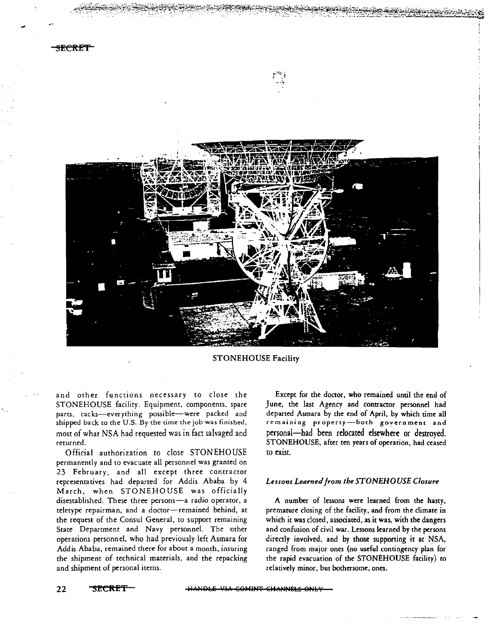



## STONEHOUSE Facility

and other functions necessary to close the STONEHOUSE facility. Equipment, components, spare parts, racks-everything possible--were packed and shipped back to the U.S. By the time the job was finished, most of what NSA had requested was in fact salvaged and returned.

Official authorization to close STONEHOUSE permanently and to evacuate all personnel was granted on 23 February, and all except three contractor representatives had departed for Addis Ababa by 4 March, when STONEHOUSE was officially disestablished. These three persons-a radio operator, a teletype repairman, and a doctor-remained behind, at the request of the Consul General, to support remaining State Deparcment and Navy personnel. The other operations personnel, who had previously left Asmara for Addis Ababa, remained there for about a month, insuring the shipment of technical materials, and the repacking and shipment of personal items.

Except for the doctor, who remained until the end of June, the last Agency and contractor personnel had departed Asmara by the end of April, by which time all remaining property-both government and personal-had been relocated elsewhere or destroyed. STONEHOUSE, after ten years of operation, had ceased to exist.

#### *Lessons Learned from the STONEHOUSE Closure*

A number of lessons were learned from the hasty, premature closing of the facility, and from the climate in which it was closed, associated, as it was, with the dangers and confusion of civil war. Lessons learned by the persons directly involved, and by those supporting it at NSA, ranged from major ones (no useful contingency plan for the rapid evacuation of the STONEHOUSE facility) to relatively minor, but bothersome, ones.